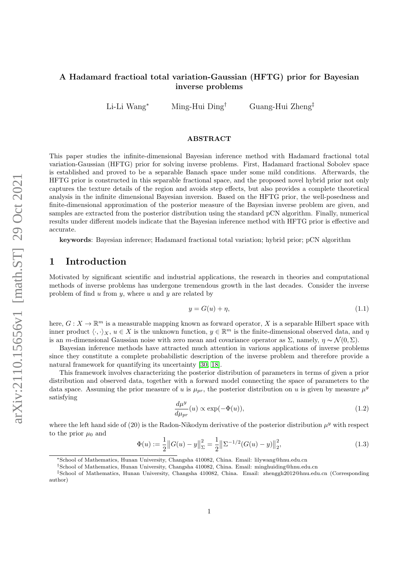## A Hadamard fractioal total variation-Gaussian (HFTG) prior for Bayesian inverse problems

Li-Li Wang<sup>∗</sup> Ming-Hui Ding† Guang-Hui Zheng‡

### ABSTRACT

This paper studies the infinite-dimensional Bayesian inference method with Hadamard fractional total variation-Gaussian (HFTG) prior for solving inverse problems. First, Hadamard fractional Sobolev space is established and proved to be a separable Banach space under some mild conditions. Afterwards, the HFTG prior is constructed in this separable fractional space, and the proposed novel hybrid prior not only captures the texture details of the region and avoids step effects, but also provides a complete theoretical analysis in the infinite dimensional Bayesian inversion. Based on the HFTG prior, the well-posedness and finite-dimensional approximation of the posterior measure of the Bayesian inverse problem are given, and samples are extracted from the posterior distribution using the standard pCN algorithm. Finally, numerical results under different models indicate that the Bayesian inference method with HFTG prior is effective and accurate.

keywords: Bayesian inference; Hadamard fractional total variation; hybrid prior; pCN algorithm

# 1 Introduction

Motivated by significant scientific and industrial applications, the research in theories and computational methods of inverse problems has undergone tremendous growth in the last decades. Consider the inverse problem of find  $u$  from  $y$ , where  $u$  and  $y$  are related by

$$
y = G(u) + \eta,\tag{1.1}
$$

here,  $G: X \to \mathbb{R}^m$  is a measurable mapping known as forward operator, X is a separable Hilbert space with inner product  $\langle \cdot, \cdot \rangle_X$ ,  $u \in X$  is the unknown function,  $y \in \mathbb{R}^m$  is the finite-dimensional observed data, and  $\eta$ is an m-dimensional Gaussian noise with zero mean and covariance operator as  $\Sigma$ , namely,  $\eta \sim \mathcal{N}(0, \Sigma)$ .

Bayesian inference methods have attracted much attention in various applications of inverse problems since they constitute a complete probabilistic description of the inverse problem and therefore provide a natural framework for quantifying its uncertainty [\[30,](#page-20-0) [18\]](#page-19-0).

This framework involves characterizing the posterior distribution of parameters in terms of given a prior distribution and observed data, together with a forward model connecting the space of parameters to the data space. Assuming the prior measure of u is  $\mu_{pr}$ , the posterior distribution on u is given by measure  $\mu^y$ satisfying

<span id="page-0-0"></span>
$$
\frac{d\mu^y}{d\mu_{pr}}(u) \propto \exp(-\Phi(u)),\tag{1.2}
$$

where the left hand side of (20) is the Radon-Nikodym derivative of the posterior distribution  $\mu^y$  with respect to the prior  $\mu_0$  and

$$
\Phi(u) := \frac{1}{2} ||G(u) - y||_{\Sigma}^{2} = \frac{1}{2} ||\Sigma^{-1/2}(G(u) - y)||_{2}^{2},
$$
\n(1.3)

<sup>∗</sup>School of Mathematics, Hunan University, Changsha 410082, China. Email: lilywang@hnu.edu.cn

<sup>†</sup>School of Mathematics, Hunan University, Changsha 410082, China. Email: minghuiding@hnu.edu.cn

<sup>‡</sup>School of Mathematics, Hunan University, Changsha 410082, China. Email: zhenggh2012@hnu.edu.cn (Corresponding author)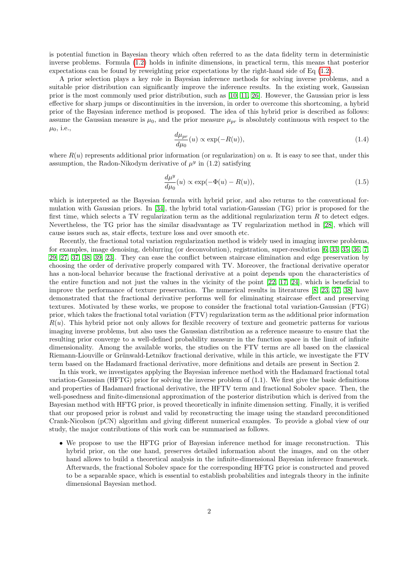is potential function in Bayesian theory which often referred to as the data fidelity term in deterministic inverse problems. Formula [\(1.2\)](#page-0-0) holds in infinite dimensions, in practical term, this means that posterior expectations can be found by reweighting prior expectations by the right-hand side of Eq [\(1.2\)](#page-0-0).

A prior selection plays a key role in Bayesian inference methods for solving inverse problems, and a suitable prior distribution can significantly improve the inference results. In the existing work, Gaussian prior is the most commonly used prior distribution, such as [\[10,](#page-19-1) [11,](#page-19-2) [26\]](#page-20-1). However, the Gaussian prior is less effective for sharp jumps or discontinuities in the inversion, in order to overcome this shortcoming, a hybrid prior of the Bayesian inference method is proposed. The idea of this hybrid prior is described as follows: assume the Gaussian measure is  $\mu_0$ , and the prior measure  $\mu_{pr}$  is absolutely continuous with respect to the  $\mu_0$ , i.e.,

$$
\frac{d\mu_{pr}}{d\mu_0}(u) \propto \exp(-R(u)),\tag{1.4}
$$

where  $R(u)$  represents additional prior information (or regularization) on u. It is easy to see that, under this assumption, the Radon-Nikodym derivative of  $\mu^y$  in (1.2) satisfying

<span id="page-1-0"></span>
$$
\frac{d\mu^y}{d\mu_0}(u) \propto \exp(-\Phi(u) - R(u)),\tag{1.5}
$$

which is interpreted as the Bayesian formula with hybrid prior, and also returns to the conventional formulation with Gaussian priors. In [\[34\]](#page-20-2), the hybrid total variation-Gaussian (TG) prior is proposed for the first time, which selects a TV regularization term as the additional regularization term  $R$  to detect edges. Nevertheless, the TG prior has the similar disadvantage as TV regularization method in [\[28\]](#page-20-3), which will cause issues such as, stair effects, texture loss and over smooth etc.

Recently, the fractional total variation regularization method is widely used in imaging inverse problems, for examples, image denoising, deblurring (or deconvolution), registration, super-resolution [\[6,](#page-19-3) [33,](#page-20-4) [35,](#page-20-5) [36,](#page-20-6) [7,](#page-19-4) [29,](#page-20-7) [27,](#page-20-8) [37,](#page-20-9) [38,](#page-20-10) [39,](#page-20-11) [23\]](#page-19-5). They can ease the conflict between staircase elimination and edge preservation by choosing the order of derivative properly compared with TV. Moreover, the fractional derivative operator has a non-local behavior because the fractional derivative at a point depends upon the characteristics of the entire function and not just the values in the vicinity of the point [\[22,](#page-19-6) [17,](#page-19-7) [24\]](#page-19-8), which is beneficial to improve the performance of texture preservation. The numerical results in literatures [\[8,](#page-19-9) [23,](#page-19-5) [37,](#page-20-9) [38\]](#page-20-10) have demonstrated that the fractional derivative performs well for eliminating staircase effect and preserving textures. Motivated by these works, we propose to consider the fractional total variation-Gaussian (FTG) prior, which takes the fractional total variation (FTV) regularization term as the additional prior information  $R(u)$ . This hybrid prior not only allows for flexible recovery of texture and geometric patterns for various imaging inverse problems, but also uses the Gaussian distribution as a reference measure to ensure that the resulting prior converge to a well-defined probability measure in the function space in the limit of infinite dimensionality. Among the available works, the studies on the FTV terms are all based on the classical Riemann-Liouville or Grünwald-Letnikov fractional derivative, while in this article, we investigate the FTV term based on the Hadamard fractional derivative, more definitions and details are present in Section 2.

In this work, we investigates applying the Bayesian inference method with the Hadamard fractional total variation-Gaussian (HFTG) prior for solving the inverse problem of (1.1). We first give the basic definitions and properties of Hadamard fractional derivative, the HFTV term and fractional Sobolev space. Then, the well-posedness and finite-dimensional approximation of the posterior distribution which is derived from the Bayesian method with HFTG prior, is proved theoretically in infinite dimension setting. Finally, it is verified that our proposed prior is robust and valid by reconstructing the image using the standard preconditioned Crank-Nicolson (pCN) algorithm and giving different numerical examples. To provide a global view of our study, the major contributions of this work can be summarised as follows.

• We propose to use the HFTG prior of Bayesian inference method for image reconstruction. This hybrid prior, on the one hand, preserves detailed information about the images, and on the other hand allows to build a theoretical analysis in the infinite-dimensional Bayesian inference framework. Afterwards, the fractional Sobolev space for the corresponding HFTG prior is constructed and proved to be a separable space, which is essential to establish probabilities and integrals theory in the infinite dimensional Bayesian method.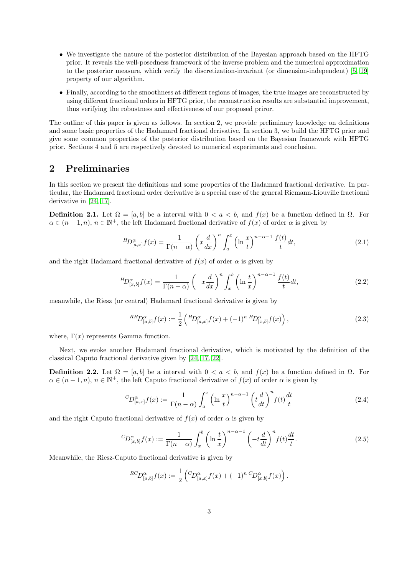- We investigate the nature of the posterior distribution of the Bayesian approach based on the HFTG prior. It reveals the well-posedness framework of the inverse problem and the numerical approximation to the posterior measure, which verify the discretization-invariant (or dimension-independent) [\[5,](#page-18-0) [19\]](#page-19-10) property of our algorithm.
- Finally, according to the smoothness at different regions of images, the true images are reconstructed by using different fractional orders in HFTG prior, the reconstruction results are substantial improvement, thus verifying the robustness and effectiveness of our proposed priror.

The outline of this paper is given as follows. In section 2, we provide preliminary knowledge on definitions and some basic properties of the Hadamard fractional derivative. In section 3, we build the HFTG prior and give some common properties of the posterior distribution based on the Bayesian framework with HFTG prior. Sections 4 and 5 are respectively devoted to numerical experiments and conclusion.

## 2 Preliminaries

In this section we present the definitions and some properties of the Hadamard fractional derivative. In particular, the Hadamard fractional order derivative is a special case of the general Riemann-Liouville fractional derivative in [\[24,](#page-19-8) [17\]](#page-19-7).

**Definition 2.1.** Let  $\Omega = [a, b]$  be a interval with  $0 < a < b$ , and  $f(x)$  be a function defined in  $\Omega$ . For  $\alpha \in (n-1,n)$ ,  $n \in \mathbb{N}^+$ , the left Hadamard fractional derivative of  $f(x)$  of order  $\alpha$  is given by

$$
{}^{H}D_{[a,x]}^{\alpha}f(x) = \frac{1}{\Gamma(n-\alpha)} \left(x\frac{d}{dx}\right)^n \int_a^x \left(\ln\frac{x}{t}\right)^{n-\alpha-1} \frac{f(t)}{t} dt,\tag{2.1}
$$

and the right Hadamard fractional derivative of  $f(x)$  of order  $\alpha$  is given by

$$
{}^{H}\!D_{[x,b]}^{\alpha}f(x) = \frac{1}{\Gamma(n-\alpha)} \left(-x\frac{d}{dx}\right)^n \int_x^b \left(\ln\frac{t}{x}\right)^{n-\alpha-1} \frac{f(t)}{t} dt,\tag{2.2}
$$

meanwhile, the Riesz (or central) Hadamard fractional derivative is given by

$$
^{RHD}^{\alpha}_{[a,b]}f(x) := \frac{1}{2} \left( {^{H\!}D}^{\alpha}_{[a,x]}f(x) + (-1)^{n} {^{H\!}D}^{\alpha}_{[x,b]}f(x) \right), \tag{2.3}
$$

where,  $\Gamma(x)$  represents Gamma function.

Next, we evoke another Hadamard fractional derivative, which is motivated by the definition of the classical Caputo fractional derivative given by [\[24,](#page-19-8) [17,](#page-19-7) [22\]](#page-19-6).

**Definition 2.2.** Let  $\Omega = [a, b]$  be a interval with  $0 < a < b$ , and  $f(x)$  be a function defined in  $\Omega$ . For  $\alpha \in (n-1, n)$ ,  $n \in \mathbb{N}^+$ , the left Caputo fractional derivative of  $f(x)$  of order  $\alpha$  is given by

$$
{}^{C}D_{[a,x]}^{\alpha}f(x) := \frac{1}{\Gamma(n-\alpha)} \int_{a}^{x} \left(\ln\frac{x}{t}\right)^{n-\alpha-1} \left(t\frac{d}{dt}\right)^{n} f(t)\frac{dt}{t}
$$
(2.4)

and the right Caputo fractional derivative of  $f(x)$  of order  $\alpha$  is given by

$$
{}^{C}D_{[x,b]}^{\alpha}f(x) := \frac{1}{\Gamma(n-\alpha)} \int_{x}^{b} \left(\ln\frac{t}{x}\right)^{n-\alpha-1} \left(-t\frac{d}{dt}\right)^{n} f(t)\frac{dt}{t}.
$$
 (2.5)

Meanwhile, the Riesz-Caputo fractional derivative is given by

$$
{}^{RC}D_{[a,b]}^{\alpha}f(x) := \frac{1}{2} \left( {}^{C}D_{[a,x]}^{\alpha}f(x) + (-1)^{n} {}^{C}D_{[x,b]}^{\alpha}f(x) \right).
$$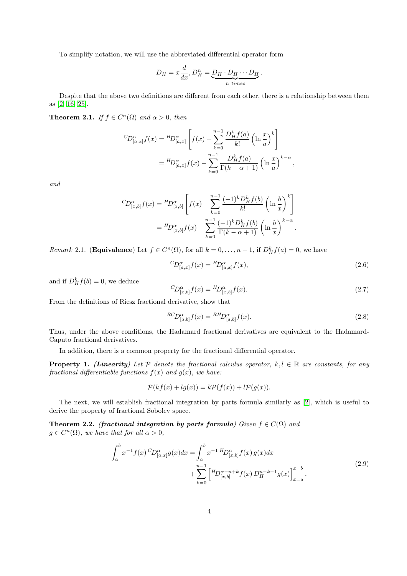To simplify notation, we will use the abbreviated differential operator form

$$
D_H = x\frac{d}{dx}, D_H^n = \underbrace{D_H \cdot D_H \cdots D_H}_{n \text{ times}}.
$$

Despite that the above two definitions are different from each other, there is a relationship between them as [\[2,](#page-18-1) [16,](#page-19-11) [25\]](#page-19-12).

**Theorem 2.1.** If  $f \in C^n(\Omega)$  and  $\alpha > 0$ , then

$$
{}^{C}\!D_{[a,x]}^{\alpha}f(x) = {}^{H}\!D_{[a,x]}^{\alpha} \left[ f(x) - \sum_{k=0}^{n-1} \frac{D_H^k f(a)}{k!} \left( \ln \frac{x}{a} \right)^k \right]
$$
  
= 
$$
{}^{H}\!D_{[a,x]}^{\alpha}f(x) - \sum_{k=0}^{n-1} \frac{D_H^k f(a)}{\Gamma(k-\alpha+1)} \left( \ln \frac{x}{a} \right)^{k-\alpha},
$$

and

$$
{}^{C}\!D_{[x,b]}^{\alpha}f(x) = {}^{H}\!D_{[x,b]}^{\alpha} \left[ f(x) - \sum_{k=0}^{n-1} \frac{(-1)^k D^k_H f(b)}{k!} \left( \ln \frac{b}{x} \right)^k \right]
$$
  
= 
$$
{}^{H}\!D_{[x,b]}^{\alpha}f(x) - \sum_{k=0}^{n-1} \frac{(-1)^k D^k_H f(b)}{\Gamma(k - \alpha + 1)} \left( \ln \frac{b}{x} \right)^{k - \alpha}.
$$

<span id="page-3-5"></span>*Remark* 2.1. (**Equivalence**) Let  $f \in C<sup>n</sup>(\Omega)$ , for all  $k = 0, ..., n - 1$ , if  $D<sup>k</sup><sub>H</sub> f(a) = 0$ , we have

<span id="page-3-1"></span>
$$
{}^{C}D_{[a,x]}^{\alpha}f(x) = {}^{H}D_{[a,x]}^{\alpha}f(x), \qquad (2.6)
$$

and if  $D_H^k f(b) = 0$ , we deduce

<span id="page-3-2"></span>
$$
{}^{C}D_{[x,b]}^{\alpha}f(x) = {}^{H}D_{[x,b]}^{\alpha}f(x).
$$
\n(2.7)

From the definitions of Riesz fractional derivative, show that

<span id="page-3-3"></span>
$$
{}^{RC}D_{[a,b]}^{\alpha}f(x) = {}^{R}{}^{H}D_{[a,b]}^{\alpha}f(x).
$$
\n(2.8)

Thus, under the above conditions, the Hadamard fractional derivatives are equivalent to the Hadamard-Caputo fractional derivatives.

In addition, there is a common property for the fractional differential operator.

**Property 1.** (Linearity) Let  $P$  denote the fractional calculus operator,  $k, l \in \mathbb{R}$  are constants, for any fractional differentiable functions  $f(x)$  and  $g(x)$ , we have:

$$
\mathcal{P}(kf(x) + lg(x)) = k\mathcal{P}(f(x)) + l\mathcal{P}(g(x)).
$$

The next, we will establish fractional integration by parts formula similarly as [\[2\]](#page-18-1), which is useful to derive the property of fractional Sobolev space.

<span id="page-3-4"></span><span id="page-3-0"></span>Theorem 2.2. (fractional integration by parts formula) Given  $f \in C(\Omega)$  and  $g \in C^{n}(\Omega)$ , we have that for all  $\alpha > 0$ ,

$$
\int_{a}^{b} x^{-1} f(x) \,^C D_{[a,x]}^{\alpha} g(x) dx = \int_{a}^{b} x^{-1} \,^H D_{[x,b]}^{\alpha} f(x) \, g(x) dx \n+ \sum_{k=0}^{n-1} \left[ \,^H D_{[x,b]}^{\alpha-n+k} f(x) \, D_H^{n-k-1} g(x) \right]_{x=a}^{x=b},
$$
\n(2.9)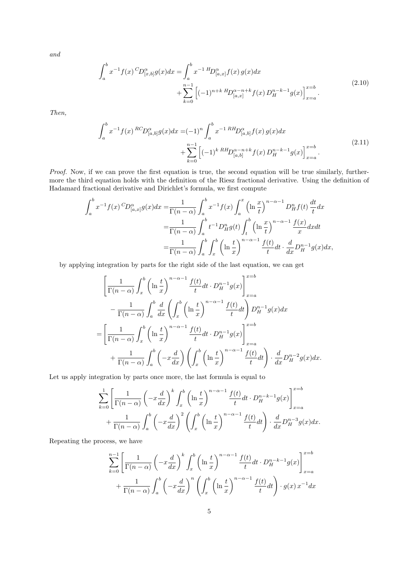<span id="page-4-0"></span>and

$$
\int_{a}^{b} x^{-1} f(x) \,^C D_{[x,b]}^{\alpha} g(x) dx = \int_{a}^{b} x^{-1} \,^H D_{[a,x]}^{\alpha} f(x) \, g(x) dx \n+ \sum_{k=0}^{n-1} \left[ (-1)^{n+k} \,^H D_{[a,x]}^{\alpha-n+k} f(x) \, D_H^{n-k-1} g(x) \right]_{x=a}^{x=b} .
$$
\n(2.10)

<span id="page-4-1"></span>Then,

$$
\int_{a}^{b} x^{-1} f(x) {^{RC}D}^{\alpha}_{[a,b]} g(x) dx = (-1)^{n} \int_{a}^{b} x^{-1} {^{RH}D}^{\alpha}_{[a,b]} f(x) g(x) dx \n+ \sum_{k=0}^{n-1} \left[ (-1)^{k} {^{RH}D}^{\alpha-n+k}_{[a,b]} f(x) D^{n-k-1}_{H} g(x) \right]_{x=a}^{x=b}.
$$
\n(2.11)

Proof. Now, if we can prove the first equation is true, the second equation will be true similarly, furthermore the third equation holds with the definition of the Riesz fractional derivative. Using the definition of Hadamard fractional derivative and Dirichlet's formula, we first compute

$$
\int_{a}^{b} x^{-1} f(x) \,^C D_{[a,x]}^{\alpha} g(x) dx = \frac{1}{\Gamma(n-\alpha)} \int_{a}^{b} x^{-1} f(x) \int_{a}^{x} \left(\ln \frac{x}{t}\right)^{n-\alpha-1} D_H^n f(t) \, \frac{dt}{t} dx
$$
\n
$$
= \frac{1}{\Gamma(n-\alpha)} \int_{a}^{b} t^{-1} D_H^n g(t) \int_{t}^{b} \left(\ln \frac{x}{t}\right)^{n-\alpha-1} \frac{f(x)}{x} dx dt
$$
\n
$$
= \frac{1}{\Gamma(n-\alpha)} \int_{a}^{b} \int_{x}^{b} \left(\ln \frac{t}{x}\right)^{n-\alpha-1} \frac{f(t)}{t} dt \cdot \frac{d}{dx} D_H^{n-1} g(x) dx,
$$

by applying integration by parts for the right side of the last equation, we can get

$$
\left[\frac{1}{\Gamma(n-\alpha)}\int_{x}^{b} \left(\ln\frac{t}{x}\right)^{n-\alpha-1} \frac{f(t)}{t} dt \cdot D_{H}^{n-1}g(x)\right]_{x=a}^{x=b}
$$

$$
-\frac{1}{\Gamma(n-\alpha)}\int_{a}^{b} \frac{d}{dx} \left(\int_{x}^{b} \left(\ln\frac{t}{x}\right)^{n-\alpha-1} \frac{f(t)}{t} dt\right) D_{H}^{n-1}g(x) dx
$$

$$
=\left[\frac{1}{\Gamma(n-\alpha)}\int_{x}^{b} \left(\ln\frac{t}{x}\right)^{n-\alpha-1} \frac{f(t)}{t} dt \cdot D_{H}^{n-1}g(x)\right]_{x=a}^{x=b}
$$

$$
+\frac{1}{\Gamma(n-\alpha)}\int_{a}^{b} \left(-x\frac{d}{dx}\right) \left(\int_{x}^{b} \left(\ln\frac{t}{x}\right)^{n-\alpha-1} \frac{f(t)}{t} dt\right) \cdot \frac{d}{dx} D_{H}^{n-2}g(x) dx.
$$

Let us apply integration by parts once more, the last formula is equal to

$$
\sum_{k=0}^{1} \left[ \frac{1}{\Gamma(n-\alpha)} \left( -x \frac{d}{dx} \right)^k \int_x^b \left( \ln \frac{t}{x} \right)^{n-\alpha-1} \frac{f(t)}{t} dt \cdot D_H^{n-k-1} g(x) \right]_{x=a}^{x=b} + \frac{1}{\Gamma(n-\alpha)} \int_a^b \left( -x \frac{d}{dx} \right)^2 \left( \int_x^b \left( \ln \frac{t}{x} \right)^{n-\alpha-1} \frac{f(t)}{t} dt \right) \cdot \frac{d}{dx} D_H^{n-3} g(x) dx.
$$

Repeating the process, we have

$$
\sum_{k=0}^{n-1} \left[ \frac{1}{\Gamma(n-\alpha)} \left( -x \frac{d}{dx} \right)^k \int_x^b \left( \ln \frac{t}{x} \right)^{n-\alpha-1} \frac{f(t)}{t} dt \cdot D_H^{n-k-1} g(x) \right]_{x=a}^{x=b}
$$

$$
+ \frac{1}{\Gamma(n-\alpha)} \int_a^b \left( -x \frac{d}{dx} \right)^n \left( \int_x^b \left( \ln \frac{t}{x} \right)^{n-\alpha-1} \frac{f(t)}{t} dt \right) \cdot g(x) x^{-1} dx
$$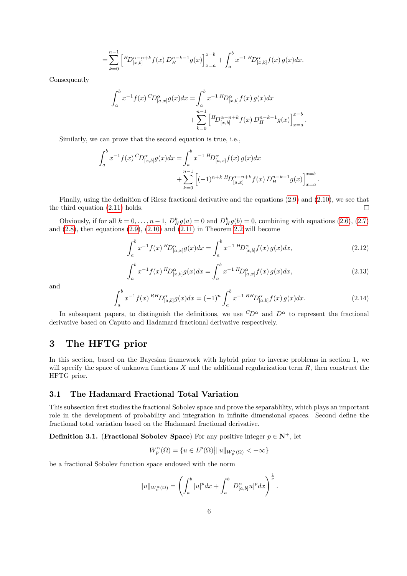$$
= \sum_{k=0}^{n-1} \left[ {}^{H}D_{[x,b]}^{\alpha-n+k} f(x) D_{H}^{n-k-1} g(x) \right]_{x=a}^{x=b} + \int_{a}^{b} x^{-1} {}^{H}D_{[x,b]}^{\alpha} f(x) g(x) dx.
$$

Consequently

$$
\int_{a}^{b} x^{-1} f(x) \, C_{D}^{\alpha}(\mathbf{x}) dx = \int_{a}^{b} x^{-1} \, H_{D}^{\alpha}(\mathbf{x}) f(x) \, g(x) dx
$$

$$
+ \sum_{k=0}^{n-1} \left[ H_{D}^{\alpha - n + k} f(x) \, D_{H}^{n-k-1} g(x) \right]_{x=a}^{x=b}
$$

Similarly, we can prove that the second equation is true, i.e.,

$$
\int_{a}^{b} x^{-1} f(x) \, C_{D_{[x,b]}^{\alpha}g}(x) dx = \int_{a}^{b} x^{-1} \, H_{D_{[a,x]}^{\alpha}f}(x) \, g(x) dx
$$

$$
+ \sum_{k=0}^{n-1} \left[ (-1)^{n+k} \, H_{D_{[a,x]}^{\alpha-n+k}f}(x) \, D_{H}^{n-k-1}g(x) \right]_{x=a}^{x=b}.
$$

Finally, using the definition of Riesz fractional derivative and the equations [\(2.9\)](#page-3-0) and [\(2.10\)](#page-4-0), we see that the third equation [\(2.11\)](#page-4-1) holds.  $\Box$ 

Obviously, if for all  $k = 0, ..., n - 1$ ,  $D_H^k g(a) = 0$  and  $D_H^k g(b) = 0$ , combining with equations [\(2.6\)](#page-3-1), [\(2.7\)](#page-3-2) and  $(2.8)$ , then equations  $(2.9)$ ,  $(2.10)$  and  $(2.11)$  in Theorem [2.2](#page-3-4) will become

<span id="page-5-0"></span>
$$
\int_{a}^{b} x^{-1} f(x) {^{H}\!D}_{[a,x]}^{\alpha} g(x) dx = \int_{a}^{b} x^{-1} {^{H}\!D}_{[x,b]}^{\alpha} f(x) g(x) dx, \tag{2.12}
$$

.

<span id="page-5-1"></span>
$$
\int_{a}^{b} x^{-1} f(x) {^{H}}D_{[x,b]}^{\alpha} g(x) dx = \int_{a}^{b} x^{-1} {^{H}}D_{[a,x]}^{\alpha} f(x) g(x) dx,
$$
\n(2.13)

and

<span id="page-5-2"></span>
$$
\int_{a}^{b} x^{-1} f(x) {^{RH}} D_{[a,b]}^{\alpha} g(x) dx = (-1)^{n} \int_{a}^{b} x^{-1} {^{RH}} D_{[a,b]}^{\alpha} f(x) g(x) dx.
$$
 (2.14)

In subsequent papers, to distinguish the definitions, we use  ${}^C D^{\alpha}$  and  $D^{\alpha}$  to represent the fractional derivative based on Caputo and Hadamard fractional derivative respectively.

# 3 The HFTG prior

In this section, based on the Bayesian framework with hybrid prior to inverse problems in section 1, we will specify the space of unknown functions  $X$  and the additional regularization term  $R$ , then construct the HFTG prior.

### 3.1 The Hadamard Fractional Total Variation

This subsection first studies the fractional Sobolev space and prove the separablility, which plays an important role in the development of probability and integration in infinite dimensional spaces. Second define the fractional total variation based on the Hadamard fractional derivative.

**Definition 3.1.** (Fractional Sobolev Space) For any positive integer  $p \in \mathbb{N}^+$ , let

$$
W^\alpha_p(\Omega)=\{u\in L^p(\Omega)\big|\|u\|_{W^\alpha_p(\Omega)}<+\infty\}
$$

be a fractional Sobolev function space endowed with the norm

$$
||u||_{W_p^{\alpha}(\Omega)} = \left(\int_a^b |u|^p dx + \int_a^b |D_{[a,b]}^{\alpha} u|^p dx\right)^{\frac{1}{p}}.
$$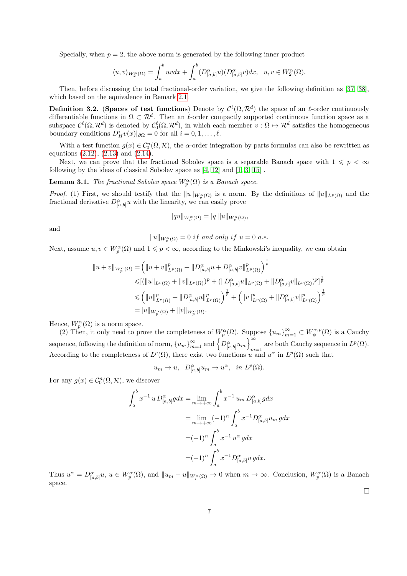Specially, when  $p = 2$ , the above norm is generated by the following inner product

$$
\langle u, v \rangle_{W_2^{\alpha}(\Omega)} = \int_a^b u v dx + \int_a^b (D_{[a,b]}^{\alpha} u)(D_{[a,b]}^{\alpha} v) dx, \ \ u, v \in W_2^{\alpha}(\Omega).
$$

Then, before discussing the total fractional-order variation, we give the following definition as [\[37,](#page-20-9) [38\]](#page-20-10), which based on the equivalence in Remark [2.1.](#page-3-5)

**Definition 3.2.** (Spaces of test functions) Denote by  $\mathcal{C}^{\ell}(\Omega,\mathcal{R}^d)$  the space of an  $\ell$ -order continuously differentiable functions in  $\Omega \subset \mathcal{R}^d$ . Then an  $\ell$ -order compactly supported continuous function space as a subspace  $\mathcal{C}^{\ell}(\Omega,\mathcal{R}^d)$  is denoted by  $\mathcal{C}_0^{\ell}(\Omega,\mathcal{R}^d)$ , in which each member  $v:\Omega\mapsto\mathcal{R}^d$  satisfies the homogeneous boundary conditions  $D^i_H v(x)|_{\partial \Omega} = 0$  for all  $i = 0, 1, ..., \ell$ .

With a test function  $g(x) \in C_0^n(\Omega, \mathcal{R})$ , the  $\alpha$ -order integration by parts formulas can also be rewritten as equations [\(2.12\)](#page-5-0), [\(2.13\)](#page-5-1) and [\(2.14\)](#page-5-2).

Next, we can prove that the fractional Sobolev space is a separable Banach space with  $1 \leq p < \infty$ following by the ideas of classical Sobolev space as [\[4,](#page-18-2) [12\]](#page-19-13) and [\[1,](#page-18-3) [3,](#page-18-4) [15\]](#page-19-14) .

**Lemma 3.1.** The fractional Sobolev space  $W_p^{\alpha}(\Omega)$  is a Banach space.

*Proof.* (1) First, we should testify that the  $||u||_{W_p^{\alpha}(\Omega)}$  is a norm. By the definitions of  $||u||_{L^p(\Omega)}$  and the fractional derivative  $D^{\alpha}_{[a,b]}u$  with the linearity, we can easily prove

$$
||qu||_{W_p^{\alpha}(\Omega)} = |q|||u||_{W_p^{\alpha}(\Omega)},
$$

and

$$
||u||_{W_p^{\alpha}(\Omega)} = 0 \text{ if and only if } u = 0 \text{ a.e.}
$$

Next, assume  $u, v \in W_p^{\alpha}(\Omega)$  and  $1 \leqslant p < \infty$ , according to the Minkowski's inequality, we can obtain

$$
||u + v||_{W_p^{\alpha}(\Omega)} = (||u + v||_{L^p(\Omega)}^p + ||D_{[a,b]}^{\alpha}u + D_{[a,b]}^{\alpha}v||_{L^p(\Omega)}^p)^{\frac{1}{p}} \leq [(||u||_{L^p(\Omega)} + ||v||_{L^p(\Omega)})^p + (||D_{[a,b]}^{\alpha}u||_{L^p(\Omega)} + ||D_{[a,b]}^{\alpha}v||_{L^p(\Omega)})^p]^{\frac{1}{p}} \leq (||u||_{L^p(\Omega)}^p + ||D_{[a,b]}^{\alpha}u||_{L^p(\Omega)}^p)^{\frac{1}{p}} + (||v||_{L^p(\Omega)}^p + ||D_{[a,b]}^{\alpha}v||_{L^p(\Omega)}^p)^{\frac{1}{p}} = ||u||_{W_p^{\alpha}(\Omega)} + ||v||_{W_p^{\alpha}(\Omega)}.
$$

Hence,  $W_n^{\alpha}(\Omega)$  is a norm space.

(2) Then, it only need to prove the completeness of  $W_p^{\alpha}(\Omega)$ . Suppose  ${u_m}_{m=1}^{\infty} \subset W_\psi^{\alpha,p}(\Omega)$  is a Cauchy sequence, following the definition of norm,  ${u_m}_{m=1}^{\infty}$  and  $\left\{D_{[a,b]}^{\alpha} u_m\right\}_{m=1}^{\infty}$ are both Cauchy sequence in  $L^p(\Omega)$ . According to the completeness of  $L^p(\Omega)$ , there exist two functions u and  $u^{\alpha}$  in  $L^p(\Omega)$  such that

 $u_m \to u, \quad D_{[a,b]}^{\alpha} u_m \to u^{\alpha}, \quad in \quad L^p(\Omega).$ 

For any  $g(x) \in C_0^n(\Omega, \mathcal{R})$ , we discover

$$
\int_{a}^{b} x^{-1} u D_{[a,b]}^{\alpha} g dx = \lim_{m \to +\infty} \int_{a}^{b} x^{-1} u_m D_{[a,b]}^{\alpha} g dx
$$
  
= 
$$
\lim_{m \to +\infty} (-1)^n \int_{a}^{b} x^{-1} D_{[a,b]}^{\alpha} u_m g dx
$$
  
= 
$$
(-1)^n \int_{a}^{b} x^{-1} u^{\alpha} g dx
$$
  
= 
$$
(-1)^n \int_{a}^{b} x^{-1} D_{[a,b]}^{\alpha} u g dx.
$$

Thus  $u^{\alpha} = D^{\alpha}_{[a,b]}u, u \in W^{\alpha}_{p}(\Omega)$ , and  $||u_{m} - u||_{W^{\alpha}_{p}(\Omega)} \to 0$  when  $m \to \infty$ . Conclusion,  $W^{\alpha}_{p}(\Omega)$  is a Banach space.

 $\Box$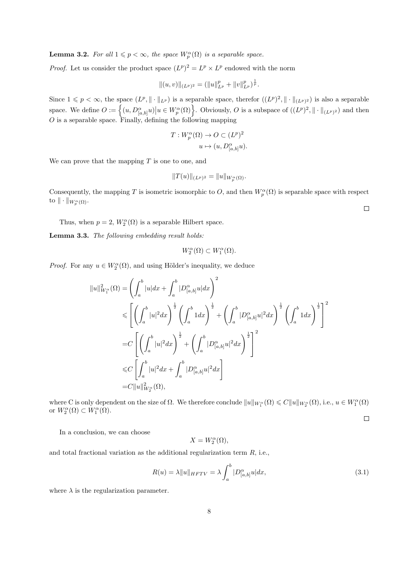**Lemma 3.2.** For all  $1 \leq p < \infty$ , the space  $W_p^{\alpha}(\Omega)$  is a separable space.

*Proof.* Let us consider the product space  $(L^p)^2 = L^p \times L^p$  endowed with the norm

$$
||(u,v)||_{(L^p)^2} = (||u||_{L^p}^p + ||v||_{L^p}^p)^{\frac{1}{p}}.
$$

Since  $1 \leq p < \infty$ , the space  $(L^p, \|\cdot\|_{L^p})$  is a separable space, therefor  $((L^p)^2, \|\cdot\|_{(L^p)^2})$  is also a separable space. We define  $O := \left\{ (u, D_{[a,b]}^{\alpha} u) \big| u \in W_p^{\alpha}(\Omega) \right\}$ . Obviously, O is a subspace of  $((L^p)^2, \|\cdot\|_{(L^p)^2})$  and then  $O$  is a separable space. Finally, defining the following mapping

$$
T: W_p^{\alpha}(\Omega) \to O \subset (L^p)^2
$$
  

$$
u \mapsto (u, D_{[a,b]}^{\alpha} u).
$$

We can prove that the mapping  $T$  is one to one, and

$$
||T(u)||_{(L^p)^2} = ||u||_{W_p^{\alpha}(\Omega)}.
$$

Consequently, the mapping T is isometric isomorphic to O, and then  $W_p^{\alpha}(\Omega)$  is separable space with respect to  $\|\cdot\|_{W^\alpha_p(\Omega)}$ .

Thus, when  $p = 2$ ,  $W_2^{\alpha}(\Omega)$  is a separable Hilbert space.

<span id="page-7-1"></span>Lemma 3.3. The following embedding result holds:

$$
W^{\alpha}_{2}(\Omega) \subset W^{\alpha}_{1}(\Omega).
$$

*Proof.* For any  $u \in W_2^{\alpha}(\Omega)$ , and using Hölder's inequality, we deduce

$$
||u||_{W_1^{\alpha}}^2(\Omega) = \left(\int_a^b |u| dx + \int_a^b |D_{[a,b]}^{\alpha} u| dx\right)^2
$$
  
\n
$$
\leq \left[\left(\int_a^b |u|^2 dx\right)^{\frac{1}{2}} \left(\int_a^b 1 dx\right)^{\frac{1}{2}} + \left(\int_a^b |D_{[a,b]}^{\alpha} u|^2 dx\right)^{\frac{1}{2}} \left(\int_a^b 1 dx\right)^{\frac{1}{2}}\right]^2
$$
  
\n
$$
= C \left[\left(\int_a^b |u|^2 dx\right)^{\frac{1}{2}} + \left(\int_a^b |D_{[a,b]}^{\alpha} u|^2 dx\right)^{\frac{1}{2}}\right]^2
$$
  
\n
$$
\leq C \left[\int_a^b |u|^2 dx + \int_a^b |D_{[a,b]}^{\alpha} u|^2 dx\right]
$$
  
\n
$$
= C ||u||_{W_2^{\alpha}}^2(\Omega),
$$

where C is only dependent on the size of  $\Omega$ . We therefore conclude  $||u||_{W_1^{\alpha}}(\Omega) \leq C||u||_{W_2^{\alpha}}(\Omega)$ , i.e.,  $u \in W_1^{\alpha}(\Omega)$ or  $W_2^{\alpha}(\Omega) \subset W_1^{\alpha}(\Omega)$ .

 $\Box$ 

In a conclusion, we can choose

$$
X=W^{\alpha}_2(\Omega),
$$

and total fractional variation as the additional regularization term R, i.e.,

<span id="page-7-0"></span>
$$
R(u) = \lambda \|u\|_{HFTV} = \lambda \int_a^b |D_{[a,b]}^{\alpha} u| dx, \tag{3.1}
$$

where  $\lambda$  is the regularization parameter.

 $\Box$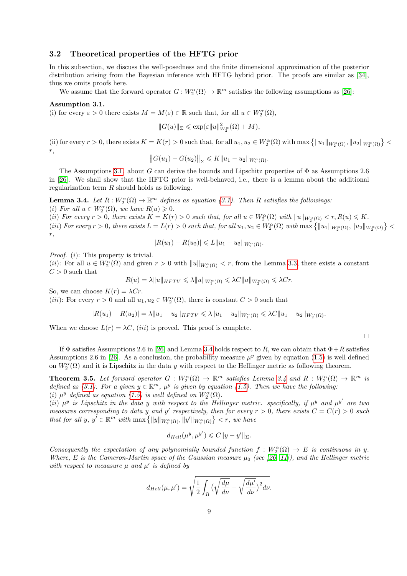### 3.2 Theoretical properties of the HFTG prior

In this subsection, we discuss the well-posedness and the finite dimensional approximation of the posterior distribution arising from the Bayesian inference with HFTG hybrid prior. The proofs are similar as [\[34\]](#page-20-2), thus we omits proofs here.

We assume that the forward operator  $G: W_2^{\alpha}(\Omega) \to \mathbb{R}^m$  satisfies the following assumptions as [\[26\]](#page-20-1):

#### <span id="page-8-0"></span>Assumption 3.1.

(i) for every  $\varepsilon > 0$  there exists  $M = M(\varepsilon) \in \mathbb{R}$  such that, for all  $u \in W_2^{\alpha}(\Omega)$ ,

$$
||G(u)||_{\Sigma}\leqslant \exp(\varepsilon||u||_{W_2^{\alpha}}^2(\Omega)+M),
$$

(ii) for every  $r > 0$ , there exists  $K = K(r) > 0$  such that, for all  $u_1, u_2 \in W_2^{\alpha}(\Omega)$  with  $\max \{||u_1||_{W_2^{\alpha}(\Omega)}, ||u_2||_{W_2^{\alpha}(\Omega)}\}$ r,

$$
||G(u_1) - G(u_2)||_{\Sigma} \leq K||u_1 - u_2||_{W_2^{\alpha}(\Omega)}.
$$

The Assumptions [3.1.](#page-8-0) about G can derive the bounds and Lipschitz properties of  $\Phi$  as Assumptions 2.6 in [\[26\]](#page-20-1). We shall show that the HFTG prior is well-behaved, i.e., there is a lemma about the additional regularization term R should holds as following.

<span id="page-8-1"></span>**Lemma 3.4.** Let  $R: W_2^{\alpha}(\Omega) \to \mathbb{R}^m$  defines as equation [\(3.1\)](#page-7-0). Then R satisfies the followings: (i) For all  $u \in W_2^{\alpha}(\Omega)$ , we have  $R(u) \geqslant 0$ .

(ii) For every  $r > 0$ , there exists  $K = K(r) > 0$  such that, for all  $u \in W_2^{\alpha}(\Omega)$  with  $||u||_{W_2^{\alpha}(\Omega)} < r, R(u) \leq K$ . (iii) For every  $r > 0$ , there exists  $L = L(r) > 0$  such that, for all  $u_1, u_2 \in W_2^{\alpha}(\Omega)$  with  $\max \{||u_1||_{W_2^{\alpha}(\Omega)}, ||u_2||_{W_2^{\alpha}(\Omega)}\}$ r,

$$
|R(u_1) - R(u_2)| \leq L \|u_1 - u_2\|_{W_2^{\alpha}(\Omega)}.
$$

*Proof.* (*i*): This property is trivial.

(*ii*): For all  $u \in W_2^{\alpha}(\Omega)$  and given  $r > 0$  with  $||u||_{W_2^{\alpha}(\Omega)} < r$ , from the Lemma [3.3,](#page-7-1) there exists a constant  ${\cal C}>0$  such that

$$
R(u) = \lambda \|u\|_{HFTV} \leqslant \lambda \|u\|_{W_1^{\alpha}(\Omega)} \leqslant \lambda C \|u\|_{W_2^{\alpha}(\Omega)} \leqslant \lambda Cr.
$$

So, we can choose  $K(r) = \lambda Cr$ .

(*iii*): For every  $r > 0$  and all  $u_1, u_2 \in W_2^{\alpha}(\Omega)$ , there is constant  $C > 0$  such that

$$
|R(u_1)-R(u_2)|=\lambda\|u_1-u_2\|_{HFTV}\leqslant \lambda\|u_1-u_2\|_{W_1^\alpha(\Omega)}\leqslant \lambda C\|u_1-u_2\|_{W_2^\alpha(\Omega)}.
$$

 $\Box$ 

When we choose  $L(r) = \lambda C$ , (*iii*) is proved. This proof is complete.

If  $\Phi$  satisfies Assumptions 2.6 in [\[26\]](#page-20-1) and Lemma [3.4](#page-8-1) holds respect to R, we can obtain that  $\Phi + R$  satisfies Assumptions 2.6 in [\[26\]](#page-20-1). As a conclusion, the probability measure  $\mu^y$  given by equation [\(1.5\)](#page-1-0) is well defined on  $W_2^{\alpha}(\Omega)$  and it is Lipschitz in the data y with respect to the Hellinger metric as following theorem.

**Theorem 3.5.** Let forward operator  $G: W_2^{\alpha}(\Omega) \to \mathbb{R}^m$  satisfies Lemma [3.4](#page-8-1) and  $R: W_2^{\alpha}(\Omega) \to \mathbb{R}^m$  is defined as [\(3.1\)](#page-7-0). For a given  $y \in \mathbb{R}^m$ ,  $\mu^y$  is given by equation [\(1.5\)](#page-1-0). Then we have the following: (i)  $\mu^y$  defined as equation [\(1.5\)](#page-1-0) is well defined on  $W_2^{\alpha}(\Omega)$ .

(ii)  $\mu^y$  is Lipschitz in the data y with respect to the Hellinger metric. specifically, if  $\mu^y$  and  $\mu^{y'}$  are two measures corresponding to data y and y' respectively, then for every  $r > 0$ , there exists  $C = C(r) > 0$  such that for all y,  $y' \in \mathbb{R}^m$  with  $\max \{ ||y||_{W_2^{\alpha}(\Omega)}, ||y'||_{W_2^{\alpha}(\Omega)} \} < r$ , we have

$$
d_{Hell}(\mu^y, \mu^{y'}) \leqslant C \|y - y'\|_{\Sigma}.
$$

Consequently the expectation of any polynomially bounded function  $f: W_2^{\alpha}(\Omega) \to E$  is continuous in y. Where, E is the Cameron-Martin space of the Gaussian measure  $\mu_0$  (see [\[26,](#page-20-1) [11\]](#page-19-2)), and the Hellinger metric with respect to meaasure  $\mu$  and  $\mu'$  is defined by

$$
d_{Hell}(\mu, \mu') = \sqrt{\frac{1}{2} \int_{\Omega} \big(\sqrt{\frac{d\mu}{d\nu}} - \sqrt{\frac{d\mu'}{d\nu}}\big)^2 d\nu}.
$$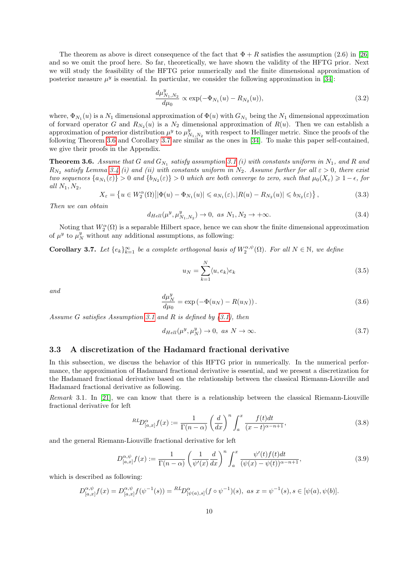The theorem as above is direct consequence of the fact that  $\Phi + R$  satisfies the assumption (2.6) in [\[26\]](#page-20-1) and so we omit the proof here. So far, theoretically, we have shown the validity of the HFTG prior. Next we will study the feasibility of the HFTG prior numerically and the finite dimensional approximation of posterior measure  $\mu^y$  is essential. In particular, we consider the following approximation in [\[34\]](#page-20-2):

$$
\frac{d\mu_{N_1,N_2}^y}{d\mu_0} \propto \exp(-\Phi_{N_1}(u) - R_{N_2}(u)),\tag{3.2}
$$

where,  $\Phi_{N_1}(u)$  is a  $N_1$  dimensional approximation of  $\Phi(u)$  with  $G_{N_1}$  being the  $N_1$  dimensional approximation of forward operator G and  $R_{N_2}(u)$  is a  $N_2$  dimensional approximation of  $R(u)$ . Then we can establish a approximation of posterior distribution  $\mu^y$  to  $\mu^y_{N_1,N_2}$  with respect to Hellinger metric. Since the proofs of the following Theorem [3.6](#page-9-0) and Corollary [3.7](#page-9-1) are similar as the ones in [\[34\]](#page-20-2). To make this paper self-contained, we give their proofs in the Appendix.

<span id="page-9-0"></span>**Theorem 3.6.** Assume that G and  $G_{N_1}$  satisfy assumption [3.1](#page-8-0) (i) with constants uniform in  $N_1$ , and R and  $R_{N_2}$  satisfy Lemma [3.4](#page-8-1) (i) and (ii) with constants uniform in  $N_2$ . Assume further for all  $\varepsilon > 0$ , there exist two sequences  $\{a_{N_1}(\varepsilon)\} > 0$  and  $\{b_{N_2}(\varepsilon)\} > 0$  which are both converge to zero, such that  $\mu_0(X_{\varepsilon}) \geq 1 - \epsilon$ , for all  $N_1, N_2$ .

$$
X_{\varepsilon} = \left\{ u \in W_2^{\alpha}(\Omega) \middle| |\Phi(u) - \Phi_{N_1}(u)| \leq a_{N_1}(\varepsilon), |R(u) - R_{N_2}(u)| \leq b_{N_2}(\varepsilon) \right\},\tag{3.3}
$$

Then we can obtain

$$
d_{Hell}(\mu^y, \mu^y_{N_1, N_2}) \to 0, \text{ as } N_1, N_2 \to +\infty.
$$
 (3.4)

Noting that  $W_2^{\alpha}(\Omega)$  is a separable Hilbert space, hence we can show the finite dimensional approximation of  $\mu^y$  to  $\mu^y$  without any additional assumptions, as following:

<span id="page-9-1"></span>**Corollary 3.7.** Let  $\{e_k\}_{k=1}^{\infty}$  be a complete orthogonal basis of  $W_2^{\alpha,\psi}(\Omega)$ . For all  $N \in \mathbb{N}$ , we define

$$
u_N = \sum_{k=1}^{N} \langle u, e_k \rangle e_k \tag{3.5}
$$

and

$$
\frac{d\mu_N^y}{d\mu_0} = \exp(-\Phi(u_N) - R(u_N)).
$$
\n(3.6)

Assume G satisfies Assumption [3.1](#page-8-0) and R is defined by  $(3.1)$ , then

$$
d_{Hell}(\mu^y, \mu^y_N) \to 0, \text{ as } N \to \infty. \tag{3.7}
$$

### <span id="page-9-3"></span>3.3 A discretization of the Hadamard fractional derivative

In this subsection, we discuss the behavior of this HFTG prior in numerically. In the numerical performance, the approximation of Hadamard fractional derivative is essential, and we present a discretization for the Hadamard fractional derivative based on the relationship between the classical Riemann-Liouville and Hadamard fractional derivative as following.

Remark 3.1. In [\[21\]](#page-19-15), we can know that there is a relationship between the classical Riemann-Liouville fractional derivative for left

$$
^{RL}D_{[a,x]}^{\alpha}f(x) := \frac{1}{\Gamma(n-\alpha)} \left(\frac{d}{dx}\right)^n \int_a^x \frac{f(t)dt}{(x-t)^{\alpha-n+1}},\tag{3.8}
$$

and the general Riemann-Liouville fractional derivative for left

<span id="page-9-2"></span>
$$
D_{[a,x]}^{\alpha,\psi} f(x) := \frac{1}{\Gamma(n-\alpha)} \left(\frac{1}{\psi'(x)} \frac{d}{dx}\right)^n \int_a^x \frac{\psi'(t) f(t) dt}{(\psi(x) - \psi(t))^{\alpha - n + 1}},
$$
(3.9)

which is described as following:

$$
D_{[a,x]}^{\alpha,\psi}f(x) = D_{[a,x]}^{\alpha,\psi}f(\psi^{-1}(s)) = {^{RL}}D_{[\psi(a),s]}^{\alpha}(f \circ \psi^{-1})(s), \text{ as } x = \psi^{-1}(s), s \in [\psi(a), \psi(b)].
$$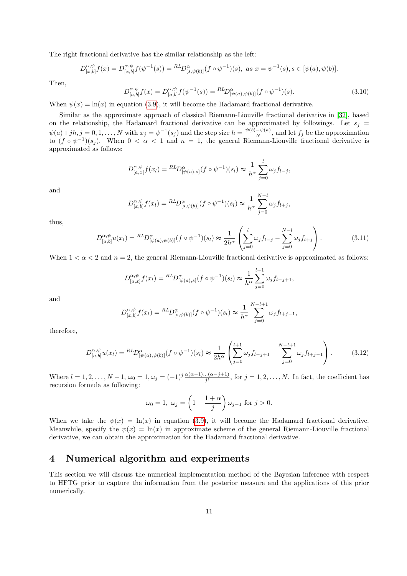The right fractional derivative has the similar relationship as the left:

$$
D_{[x,b]}^{\alpha,\psi}f(x) = D_{[x,b]}^{\alpha,\psi}f(\psi^{-1}(s)) = {^{RL}D_{[s,\psi(b)]}^{\alpha}}(f \circ \psi^{-1})(s), \text{ as } x = \psi^{-1}(s), s \in [\psi(a), \psi(b)].
$$

Then,

$$
D_{[a,b]}^{\alpha,\psi} f(x) = D_{[a,b]}^{\alpha,\psi} f(\psi^{-1}(s)) = {}^{RL}D_{[\psi(a),\psi(b)]}^{\alpha}(f \circ \psi^{-1})(s).
$$
\n(3.10)

When  $\psi(x) = \ln(x)$  in equation [\(3.9\)](#page-9-2), it will become the Hadamard fractional derivative.

Similar as the approximate approach of classical Riemann-Liouville fractional derivative in [\[32\]](#page-20-12), based on the relationship, the Hadamard fractional derivative can be approximated by followings. Let  $s_i$  $\psi(a)+jh, j=0,1,\ldots,N$  with  $x_j = \psi^{-1}(s_j)$  and the step size  $h = \frac{\psi(b)-\psi(a)}{N}$  $\frac{-\psi(a)}{N}$ , and let  $f_j$  be the approximation to  $(f \circ \psi^{-1})(s_j)$ . When  $0 < \alpha < 1$  and  $n = 1$ , the general Riemann-Liouville fractional derivative is approximated as follows:

$$
D_{[a,x]}^{\alpha,\psi} f(x_l) = {}^{RL}D_{[\psi(a),s]}^{\alpha}(f \circ \psi^{-1})(s_l) \approx \frac{1}{h^{\alpha}} \sum_{j=0}^{l} \omega_j f_{l-j},
$$

and

$$
D_{[x,b]}^{\alpha,\psi} f(x_l) = {}^{RL}D_{[s,\psi(b)]}^{\alpha} (f \circ \psi^{-1})(s_l) \approx \frac{1}{h^{\alpha}} \sum_{j=0}^{N-l} \omega_j f_{l+j},
$$

thus,

<span id="page-10-0"></span>
$$
D_{[a,b]}^{\alpha,\psi}u(x_l) = {}^{RL}D_{[\psi(a),\psi(b)]}^{\alpha}(f \circ \psi^{-1})(s_l) \approx \frac{1}{2h^{\alpha}} \left( \sum_{j=0}^{l} \omega_j f_{l-j} - \sum_{j=0}^{N-l} \omega_j f_{l+j} \right). \tag{3.11}
$$

When  $1 < \alpha < 2$  and  $n = 2$ , the general Riemann-Liouville fractional derivative is approximated as follows:

$$
D_{[a,x]}^{\alpha,\psi} f(x_l) = {}^{RL}D_{[\psi(a),s]}^{\alpha}(f \circ \psi^{-1})(s_l) \approx \frac{1}{h^{\alpha}} \sum_{j=0}^{l+1} \omega_j f_{l-j+1},
$$

and

$$
D_{[x,b]}^{\alpha,\psi} f(x_l) = {}^{RL}D_{[s,\psi(b)]}^{\alpha} (f \circ \psi^{-1})(s_l) \approx \frac{1}{h^{\alpha}} \sum_{j=0}^{N-l+1} \omega_j f_{l+j-1},
$$

therefore,

<span id="page-10-1"></span>
$$
D_{[a,b]}^{\alpha,\psi}u(x_l) = {}^{RL}D_{[\psi(a),\psi(b)]}^{\alpha}(f\circ\psi^{-1})(s_l) \approx \frac{1}{2h^{\alpha}} \left(\sum_{j=0}^{l+1} \omega_j f_{l-j+1} + \sum_{j=0}^{N-l+1} \omega_j f_{l+j-1}\right). \tag{3.12}
$$

Where  $l = 1, 2, \ldots, N-1$ ,  $\omega_0 = 1, \omega_j = (-1)^j \frac{\alpha(\alpha-1)\dots(\alpha-j+1)}{j!}$ , for  $j = 1, 2, \ldots, N$ . In fact, the coefficient has recursion formula as following:

$$
\omega_0 = 1, \ \omega_j = \left(1 - \frac{1 + \alpha}{j}\right)\omega_{j-1} \text{ for } j > 0.
$$

When we take the  $\psi(x) = \ln(x)$  in equation [\(3.9\)](#page-9-2), it will become the Hadamard fractional derivative. Meanwhile, specify the  $\psi(x) = \ln(x)$  in approximate scheme of the general Riemann-Liouville fractional derivative, we can obtain the approximation for the Hadamard fractional derivative.

## 4 Numerical algorithm and experiments

This section we will discuss the numerical implementation method of the Bayesian inference with respect to HFTG prior to capture the information from the posterior measure and the applications of this prior numerically.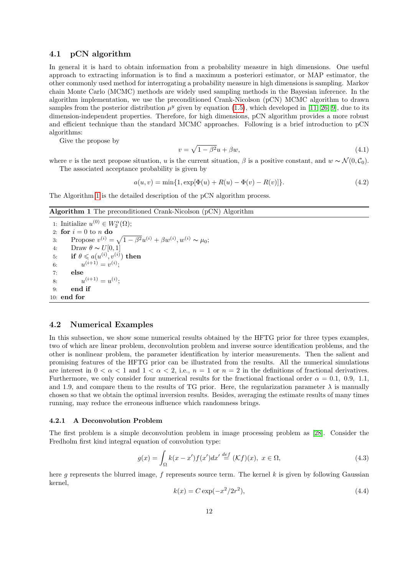#### 4.1 pCN algorithm

In general it is hard to obtain information from a probability measure in high dimensions. One useful approach to extracting information is to find a maximum a posteriori estimator, or MAP estimator, the other commonly used method for interrogating a probability measure in high dimensions is sampling. Markov chain Monte Carlo (MCMC) methods are widely used sampling methods in the Bayesian inference. In the algorithm implementation, we use the preconditioned Crank-Nicolson (pCN) MCMC algorithm to drawn samples from the posterior distribution  $\mu^y$  given by equation [\(1.5\)](#page-1-0), which developed in [\[11,](#page-19-2) [26,](#page-20-1) [9\]](#page-19-16), due to its dimension-independent properties. Therefore, for high dimensions, pCN algorithm provides a more robust and efficient technique than the standard MCMC approaches. Following is a brief introduction to pCN algorithms:

Give the propose by

$$
v = \sqrt{1 - \beta^2}u + \beta w,\tag{4.1}
$$

where v is the next propose situation, u is the current situation,  $\beta$  is a positive constant, and  $w \sim \mathcal{N}(0, \mathcal{C}_0)$ . The associated acceptance probability is given by

$$
a(u, v) = \min\{1, \exp[\Phi(u) + R(u) - \Phi(v) - R(v)]\}.
$$
\n(4.2)

The Algorithm [1](#page-11-0) is the detailed description of the pCN algorithm process.

<span id="page-11-0"></span>Algorithm 1 The preconditioned Crank-Nicolson (pCN) Algorithm

1: Initialize  $u^{(0)} \in W_2^{\alpha}(\Omega)$ ; 2: for  $i = 0$  to n do 3: Propose  $v^{(i)} = \sqrt{1 - \beta^2} u^{(i)} + \beta w^{(i)}, w^{(i)} \sim \mu_0;$ 4: Draw  $\theta \sim U[0, 1]$ 5: if  $\theta \leqslant a(u^{(i)}, v^{(i)})$  then 6:  $u^{(i+1)} = v^{(i)}$ ; 7: else 8:  $u^{(i+1)} = u^{(i)}$ ; 9: end if 10: end for

#### 4.2 Numerical Examples

In this subsection, we show some numerical results obtained by the HFTG prior for three types examples, two of which are linear problem, deconvolution problem and inverse source identification problems, and the other is nonlinear problem, the parameter identification by interior measurements. Then the salient and promising features of the HFTG prior can be illustrated from the results. All the numerical simulations are interest in  $0 < \alpha < 1$  and  $1 < \alpha < 2$ , i.e.,  $n = 1$  or  $n = 2$  in the definitions of fractional derivatives. Furthermore, we only consider four numerical results for the fractional fractional order  $\alpha = 0.1, 0.9, 1.1$ , and 1.9, and compare them to the results of TG prior. Here, the regularization parameter  $\lambda$  is manually chosen so that we obtain the optimal inversion results. Besides, averaging the estimate results of many times running, may reduce the erroneous influence which randomness brings.

#### <span id="page-11-2"></span>4.2.1 A Deconvolution Problem

The first problem is a simple deconvolution problem in image processing problem as [\[28\]](#page-20-3). Consider the Fredholm first kind integral equation of convolution type:

<span id="page-11-1"></span>
$$
g(x) = \int_{\Omega} k(x - x') f(x') dx' \stackrel{def}{=} (\mathcal{K}f)(x), \ x \in \Omega,
$$
\n(4.3)

here g represents the blurred image,  $f$  represents source term. The kernel  $k$  is given by following Gaussian kernel,

$$
k(x) = C \exp(-x^2/2r^2),
$$
\n(4.4)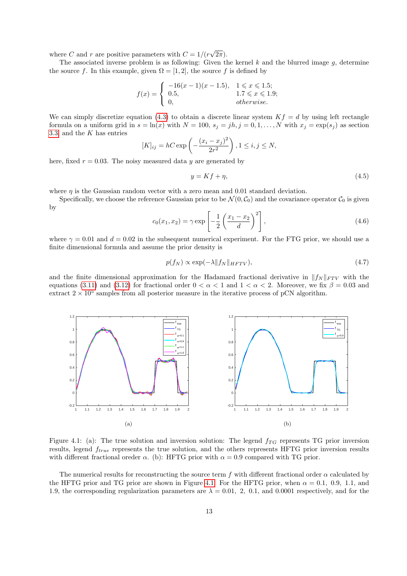where C and r are positive parameters with  $C = 1/(r)$ √  $(2\pi).$ 

The associated inverse problem is as following: Given the kernel  $k$  and the blurred image  $q$ , determine the source f. In this example, given  $\Omega = [1, 2]$ , the source f is defined by

$$
f(x) = \begin{cases} -16(x-1)(x-1.5), & 1 \le x \le 1.5; \\ 0.5, & 1.7 \le x \le 1.9; \\ 0, & otherwise. \end{cases}
$$

We can simply discretize equation [\(4.3\)](#page-11-1) to obtain a discrete linear system  $Kf = d$  by using left rectangle formula on a uniform grid in  $s = \ln(x)$  with  $N = 100$ ,  $s_j = jh$ ,  $j = 0, 1, ..., N$  with  $x_j = \exp(s_j)$  as section [3.3,](#page-9-3) and the  $K$  has entries

$$
[K]_{ij} = hC \exp\left(-\frac{(x_i - x_j)^2}{2r^2}\right), 1 \le i, j \le N,
$$

here, fixed  $r = 0.03$ . The noisy measured data y are generated by

$$
y = Kf + \eta,\tag{4.5}
$$

where  $\eta$  is the Gaussian random vector with a zero mean and 0.01 standard deviation.

Specifically, we choose the reference Gaussian prior to be  $\mathcal{N}(0, \mathcal{C}_0)$  and the covariance operator  $\mathcal{C}_0$  is given by

<span id="page-12-3"></span>
$$
c_0(x_1, x_2) = \gamma \exp\left[ -\frac{1}{2} \left( \frac{x_1 - x_2}{d} \right)^2 \right],
$$
\n(4.6)

where  $\gamma = 0.01$  and  $d = 0.02$  in the subsequent numerical experiment. For the FTG prior, we should use a finite dimensional formula and assume the prior density is

<span id="page-12-1"></span>
$$
p(f_N) \propto \exp(-\lambda \|f_N\|_{HFTV}),\tag{4.7}
$$

and the finite dimensional approximation for the Hadamard fractional derivative in  $||f_N||_{FTV}$  with the equations [\(3.11\)](#page-10-0) and [\(3.12\)](#page-10-1) for fractional order  $0 < \alpha < 1$  and  $1 < \alpha < 2$ . Moreover, we fix  $\beta = 0.03$  and extract  $2 \times 10^5$  samples from all posterior measure in the iterative process of pCN algorithm.

<span id="page-12-2"></span><span id="page-12-0"></span>

Figure 4.1: (a): The true solution and inversion solution: The legend  $f_{TG}$  represents TG prior inversion results, legend  $f_{true}$  represents the true solution, and the others represents HFTG prior inversion results with different fractional oreder  $\alpha$ . (b): HFTG prior with  $\alpha = 0.9$  compared with TG prior.

The numerical results for reconstructing the source term f with different fractional order  $\alpha$  calculated by the HFTG prior and TG prior are shown in Figure [4.1.](#page-12-0) For the HFTG prior, when  $\alpha = 0.1, 0.9, 1.1,$  and 1.9, the corresponding regularization parameters are  $\lambda = 0.01, 2, 0.1,$  and 0.0001 respectively, and for the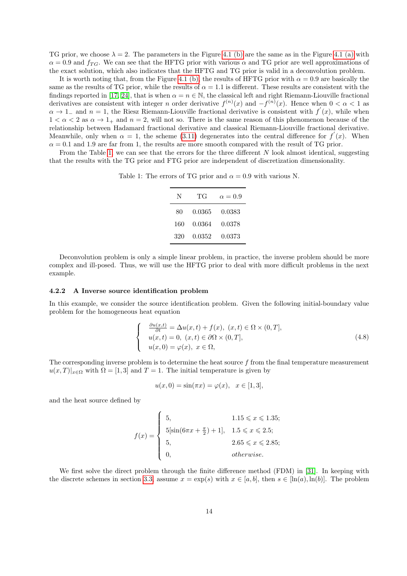TG prior, we choose  $\lambda = 2$ . The parameters in the Figure [4.1 \(b\)](#page-12-1) are the same as in the Figure [4.1 \(a\)](#page-12-2) with  $\alpha = 0.9$  and  $f_{TG}$ . We can see that the HFTG prior with various  $\alpha$  and TG prior are well approximations of the exact solution, which also indicates that the HFTG and TG prior is valid in a deconvolution problem.

It is worth noting that, from the Figure [4.1 \(b\),](#page-12-1) the results of HFTG prior with  $\alpha = 0.9$  are basically the same as the results of TG prior, while the results of  $\alpha = 1.1$  is different. These results are consistent with the findings reported in [\[17,](#page-19-7) [24\]](#page-19-8), that is when  $\alpha = n \in \mathbb{N}$ , the classical left and right Riemann-Liouville fractional derivatives are consistent with integer n order derivative  $f^{(n)}(x)$  and  $-f^{(n)}(x)$ . Hence when  $0 < \alpha < 1$  as  $\alpha \to 1^-$  and  $n = 1$ , the Riesz Riemann-Liouville fractional derivative is consistent with  $f'(x)$ , while when  $1 < \alpha < 2$  as  $\alpha \rightarrow 1_+$  and  $n = 2$ , will not so. There is the same reason of this phenomenon because of the relationship between Hadamard fractional derivative and classical Riemann-Liouville fractional derivative. Meanwhile, only when  $\alpha = 1$ , the scheme [\(3.11\)](#page-10-0) degenerates into the central difference for  $f'(x)$ . When  $\alpha = 0.1$  and 1.9 are far from 1, the results are more smooth compared with the result of TG prior.

<span id="page-13-0"></span>From the Table [1,](#page-13-0) we can see that the errors for the three different  $N$  look almost identical, suggesting that the results with the TG prior and FTG prior are independent of discretization dimensionality.

Table 1: The errors of TG prior and  $\alpha = 0.9$  with various N.

| N   | ТG     | $\alpha = 0.9$ |
|-----|--------|----------------|
| 80  | 0.0365 | 0.0383         |
| 160 | 0.0364 | 0.0378         |
| 320 | 0.0352 | 0.0373         |

Deconvolution problem is only a simple linear problem, in practice, the inverse problem should be more complex and ill-posed. Thus, we will use the HFTG prior to deal with more difficult problems in the next example.

#### <span id="page-13-2"></span>4.2.2 A Inverse source identification problem

In this example, we consider the source identification problem. Given the following initial-boundary value problem for the homogeneous heat equation

$$
\begin{cases}\n\frac{\partial u(x,t)}{\partial t} = \Delta u(x,t) + f(x), (x,t) \in \Omega \times (0,T], \\
u(x,t) = 0, (x,t) \in \partial\Omega \times (0,T], \\
u(x,0) = \varphi(x), x \in \Omega,\n\end{cases}
$$
\n(4.8)

<span id="page-13-1"></span>The corresponding inverse problem is to determine the heat source  $f$  from the final temperature measurement  $u(x,T)|_{x\in\Omega}$  with  $\Omega = [1,3]$  and  $T = 1$ . The initial temperature is given by

$$
u(x, 0) = \sin(\pi x) = \varphi(x), \quad x \in [1, 3],
$$

and the heat source defined by

$$
f(x) = \begin{cases} 5, & 1.15 \le x \le 1.35; \\ 5[\sin(6\pi x + \frac{\pi}{2}) + 1], & 1.5 \le x \le 2.5; \\ 5, & 2.65 \le x \le 2.85; \\ 0, & otherwise. \end{cases}
$$

We first solve the direct problem through the finite difference method (FDM) in [\[31\]](#page-20-13). In keeping with the discrete schemes in section [3.3,](#page-9-3) assume  $x = \exp(s)$  with  $x \in [a, b]$ , then  $s \in [\ln(a), \ln(b)]$ . The problem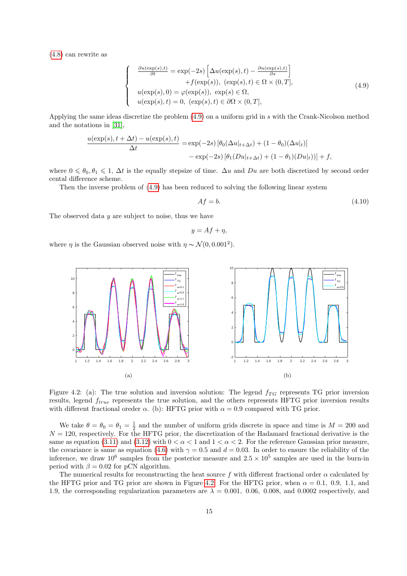<span id="page-14-0"></span>[\(4.8\)](#page-13-1) can rewrite as

$$
\frac{\partial u(\exp(s),t)}{\partial t} = \exp(-2s) \left[ \Delta u(\exp(s),t) - \frac{\partial u(\exp(s),t)}{\partial s} \right] \n+ f(\exp(s)), (\exp(s),t) \in \Omega \times (0,T], \nu(\exp(s),0) = \varphi(\exp(s)), \exp(s) \in \Omega, \nu(\exp(s),t) = 0, (\exp(s),t) \in \partial\Omega \times (0,T],
$$
\n(4.9)

Applying the same ideas discretize the problem [\(4.9\)](#page-14-0) on a uniform grid in s with the Crank-Nicolson method and the notations in [\[31\]](#page-20-13),

$$
\frac{u(\exp(s), t + \Delta t) - u(\exp(s), t)}{\Delta t} = \exp(-2s) \left[ \theta_0(\Delta u|_{t + \Delta t}) + (1 - \theta_0)(\Delta u|_t) \right]
$$

$$
- \exp(-2s) \left[ \theta_1(Du|_{t + \Delta t}) + (1 - \theta_1)(Du|_t) \right] + f,
$$

where  $0 \le \theta_0, \theta_1 \le 1$ ,  $\Delta t$  is the equally stepsize of time.  $\Delta u$  and  $Du$  are both discretized by second order cental difference scheme.

Then the inverse problem of [\(4.9\)](#page-14-0) has been reduced to solving the following linear system

$$
Af = b.\t\t(4.10)
$$

The observed data  $y$  are subject to noise, thus we have

 $\sqrt{ }$  $\int$ 

 $\overline{\mathcal{L}}$ 

<span id="page-14-2"></span>
$$
y = Af + \eta,
$$

<span id="page-14-1"></span>where  $\eta$  is the Gaussian observed noise with  $\eta \sim \mathcal{N}(0, 0.001^2)$ .

<span id="page-14-3"></span>

Figure 4.2: (a): The true solution and inversion solution: The legend  $f_{TG}$  represents TG prior inversion results, legend  $f_{true}$  represents the true solution, and the others represents HFTG prior inversion results with different fractional oreder  $\alpha$ . (b): HFTG prior with  $\alpha = 0.9$  compared with TG prior.

We take  $\theta = \theta_0 = \theta_1 = \frac{1}{2}$  and the number of uniform grids discrete in space and time is  $M = 200$  and  $N = 120$ , respectively. For the HFTG prior, the discretization of the Hadamard fractional derivative is the same as equation [\(3.11\)](#page-10-0) and [\(3.12\)](#page-10-1) with  $0 < \alpha < 1$  and  $1 < \alpha < 2$ . For the reference Gaussian prior measure, the covariance is same as equation [\(4.6\)](#page-12-3) with  $\gamma = 0.5$  and  $d = 0.03$ . In order to ensure the reliability of the inference, we draw  $10^6$  samples from the posterior measure and  $2.5 \times 10^5$  samples are used in the burn-in period with  $\beta = 0.02$  for pCN algorithm.

The numerical results for reconstructing the heat source f with different fractional order  $\alpha$  calculated by the HFTG prior and TG prior are shown in Figure [4.2.](#page-14-1) For the HFTG prior, when  $\alpha = 0.1, 0.9, 1.1,$  and 1.9, the corresponding regularization parameters are  $\lambda = 0.001$ , 0.06, 0.008, and 0.0002 respectively, and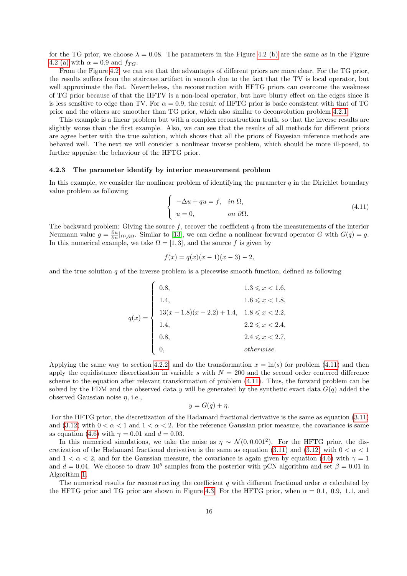for the TG prior, we choose  $\lambda = 0.08$ . The parameters in the Figure [4.2 \(b\)](#page-14-2) are the same as in the Figure [4.2 \(a\)](#page-14-3) with  $\alpha = 0.9$  and  $f_{TG}$ .

From the Figure [4.2,](#page-14-1) we can see that the advantages of different priors are more clear. For the TG prior, the results suffers from the staircase artifact in smooth due to the fact that the TV is local operator, but well approximate the flat. Nevertheless, the reconstruction with HFTG priors can overcome the weakness of TG prior because of that the HFTV is a non-local operator, but have blurry effect on the edges since it is less sensitive to edge than TV. For  $\alpha = 0.9$ , the result of HFTG prior is basic consistent with that of TG prior and the others are smoother than TG prior, which also similar to deconvolution problem [4.2.1.](#page-11-2)

This example is a linear problem but with a complex reconstruction truth, so that the inverse results are slightly worse than the first example. Also, we can see that the results of all methods for different priors are agree better with the true solution, which shows that all the priors of Bayesian inference methods are behaved well. The next we will consider a nonlinear inverse problem, which should be more ill-posed, to further appraise the behaviour of the HFTG prior.

#### 4.2.3 The parameter identify by interior measurement problem

In this example, we consider the nonlinear problem of identifying the parameter  $q$  in the Dirichlet boundary value problem as following

<span id="page-15-0"></span>
$$
\begin{cases}\n-\Delta u + qu = f, & \text{in } \Omega, \\
u = 0, & \text{on } \partial \Omega.\n\end{cases}
$$
\n(4.11)

The backward problem: Giving the source  $f$ , recover the coefficient  $q$  from the measurements of the interior Neumann value  $g = \frac{\partial u}{\partial n}|_{\Omega \setminus \partial \Omega}$ . Similar to [\[13\]](#page-19-17), we can define a nonlinear forward operator G with  $G(q) = g$ . In this numerical example, we take  $\Omega = [1, 3]$ , and the source f is given by

$$
f(x) = q(x)(x - 1)(x - 3) - 2,
$$

and the true solution  $q$  of the inverse problem is a piecewise smooth function, defined as following

$$
q(x) = \begin{cases} 0.8, & 1.3 \leq x < 1.6, \\ 1.4, & 1.6 \leq x < 1.8, \\ 13(x - 1.8)(x - 2.2) + 1.4, & 1.8 \leq x < 2.2, \\ 1.4, & 2.2 \leq x < 2.4, \\ 0.8, & 2.4 \leq x < 2.7, \\ 0, & otherwise. \end{cases}
$$

Applying the same way to section [4.2.2,](#page-13-2) and do the transformation  $x = \ln(s)$  for problem [\(4.11\)](#page-15-0) and then apply the equidistance discretization in variable s with  $N = 200$  and the second order centered difference scheme to the equation after relevant transformation of problem [\(4.11\)](#page-15-0). Thus, the forward problem can be solved by the FDM and the observed data y will be generated by the synthetic exact data  $G(q)$  added the observed Gaussian noise  $\eta$ , i.e.,

$$
y = G(q) + \eta.
$$

For the HFTG prior, the discretization of the Hadamard fractional derivative is the same as equation [\(3.11\)](#page-10-0) and [\(3.12\)](#page-10-1) with  $0 < \alpha < 1$  and  $1 < \alpha < 2$ . For the reference Gaussian prior measure, the covariance is same as equation [\(4.6\)](#page-12-3) with  $\gamma = 0.01$  and  $d = 0.03$ .

In this numerical simulations, we take the noise as  $\eta \sim \mathcal{N}(0, 0.001^2)$ . For the HFTG prior, the dis-cretization of the Hadamard fractional derivative is the same as equation [\(3.11\)](#page-10-0) and [\(3.12\)](#page-10-1) with  $0 < \alpha < 1$ and  $1 < \alpha < 2$ , and for the Gaussian measure, the covariance is again given by equation [\(4.6\)](#page-12-3) with  $\gamma = 1$ and  $d = 0.04$ . We choose to draw  $10^5$  samples from the posterior with pCN algorithm and set  $\beta = 0.01$  in Algorithm [1.](#page-11-0)

The numerical results for reconstructing the coefficient q with different fractional order  $\alpha$  calculated by the HFTG prior and TG prior are shown in Figure [4.3.](#page-16-0) For the HFTG prior, when  $\alpha = 0.1, 0.9, 1.1,$  and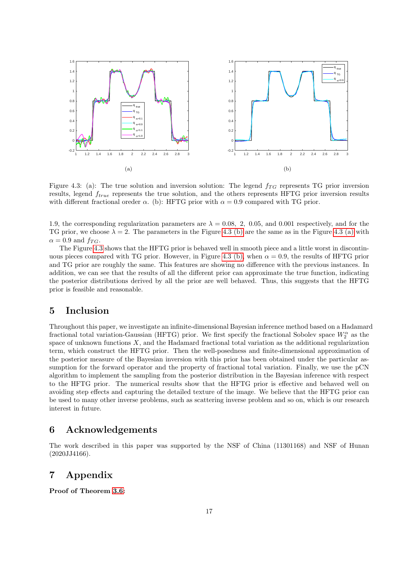<span id="page-16-2"></span><span id="page-16-0"></span>

<span id="page-16-1"></span>Figure 4.3: (a): The true solution and inversion solution: The legend  $f_{TG}$  represents TG prior inversion results, legend  $f_{true}$  represents the true solution, and the others represents HFTG prior inversion results with different fractional oreder  $\alpha$ . (b): HFTG prior with  $\alpha = 0.9$  compared with TG prior.

1.9, the corresponding regularization parameters are  $\lambda = 0.08, 2, 0.05,$  and 0.001 respectively, and for the TG prior, we choose  $\lambda = 2$ . The parameters in the Figure [4.3 \(b\)](#page-16-1) are the same as in the Figure [4.3 \(a\)](#page-16-2) with  $\alpha = 0.9$  and  $f_{TG}$ .

The Figure [4.3](#page-16-0) shows that the HFTG prior is behaved well in smooth piece and a little worst in discontin-uous pieces compared with TG prior. However, in Figure [4.3 \(b\),](#page-16-1) when  $\alpha = 0.9$ , the results of HFTG prior and TG prior are roughly the same. This features are showing no difference with the previous instances. In addition, we can see that the results of all the different prior can approximate the true function, indicating the posterior distributions derived by all the prior are well behaved. Thus, this suggests that the HFTG prior is feasible and reasonable.

## 5 Inclusion

Throughout this paper, we investigate an infinite-dimensional Bayesian inference method based on a Hadamard fractional total variation-Gaussian (HFTG) prior. We first specify the fractional Sobolev space  $W_2^{\alpha}$  as the space of unknown functions  $X$ , and the Hadamard fractional total variation as the additional regularization term, which construct the HFTG prior. Then the well-posedness and finite-dimensional approximation of the posterior measure of the Bayesian inversion with this prior has been obtained under the particular assumption for the forward operator and the property of fractional total variation. Finally, we use the pCN algorithm to implement the sampling from the posterior distribution in the Bayesian inference with respect to the HFTG prior. The numerical results show that the HFTG prior is effective and behaved well on avoiding step effects and capturing the detailed texture of the image. We believe that the HFTG prior can be used to many other inverse problems, such as scattering inverse problem and so on, which is our research interest in future.

## 6 Acknowledgements

The work described in this paper was supported by the NSF of China (11301168) and NSF of Hunan (2020JJ4166).

# 7 Appendix

Proof of Theorem [3.6:](#page-9-0)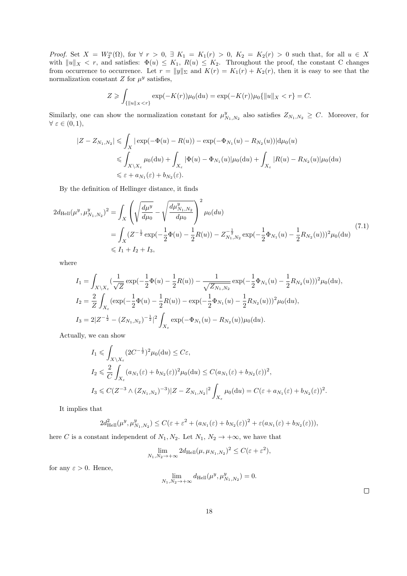Proof. Set  $X = W_2^{\alpha}(\Omega)$ , for  $\forall r > 0$ ,  $\exists K_1 = K_1(r) > 0$ ,  $K_2 = K_2(r) > 0$  such that, for all  $u \in X$ with  $||u||_X < r$ , and satisfies:  $\Phi(u) \leq K_1$ ,  $R(u) \leq K_2$ . Throughout the proof, the constant C changes from occurrence to occurrence. Let  $r = ||y||_{\Sigma}$  and  $K(r) = K_1(r) + K_2(r)$ , then it is easy to see that the normalization constant  $Z$  for  $\mu^y$  satisfies,

$$
Z \geqslant \int_{\{\|u\|_X < r\}} \exp(-K(r))\mu_0(\mathrm{d}u) = \exp(-K(r))\mu_0\{\|u\|_X < r\} = C.
$$

Similarly, one can show the normalization constant for  $\mu_{N_1,N_2}^y$  also satisfies  $Z_{N_1,N_2} \geq C$ . Moreover, for  $\forall \varepsilon \in (0,1),$ 

$$
|Z - Z_{N_1, N_2}| \leq \int_X |\exp(-\Phi(u) - R(u)) - \exp(-\Phi_{N_1}(u) - R_{N_2}(u))| d\mu_0(u)
$$
  
\n
$$
\leq \int_{X \setminus X_{\varepsilon}} \mu_0(du) + \int_{X_{\varepsilon}} |\Phi(u) - \Phi_{N_1}(u)| \mu_0(du) + \int_{X_{\varepsilon}} |R(u) - R_{N_2}(u)| \mu_0(du)
$$
  
\n
$$
\leq \varepsilon + a_{N_1}(\varepsilon) + b_{N_2}(\varepsilon).
$$

By the definition of Hellinger distance, it finds

$$
2d_{\text{Hell}}(\mu^y, \mu^y_{N_1, N_2})^2 = \int_X \left( \sqrt{\frac{d\mu^y}{d\mu_0}} - \sqrt{\frac{d\mu^y_{N_1, N_2}}{d\mu_0}} \right)^2 \mu_0(du)
$$
  
= 
$$
\int_X (Z^{-\frac{1}{2}} \exp(-\frac{1}{2}\Phi(u) - \frac{1}{2}R(u)) - Z^{-\frac{1}{2}}_{N_1, N_2} \exp(-\frac{1}{2}\Phi_{N_1}(u) - \frac{1}{2}R_{N_2}(u)))^2 \mu_0(du)
$$
(7.1)  
\$\leq I\_1 + I\_2 + I\_3\$,

where

$$
I_1 = \int_{X \setminus X_{\varepsilon}} \left(\frac{1}{\sqrt{Z}} \exp\left(-\frac{1}{2}\Phi(u) - \frac{1}{2}R(u)\right) - \frac{1}{\sqrt{Z_{N_1,N_2}}} \exp\left(-\frac{1}{2}\Phi_{N_1}(u) - \frac{1}{2}R_{N_2}(u)\right)\right)^2 \mu_0(\mathrm{d}u),
$$
  
\n
$$
I_2 = \frac{2}{Z} \int_{X_{\varepsilon}} \left(\exp\left(-\frac{1}{2}\Phi(u) - \frac{1}{2}R(u)\right) - \exp\left(-\frac{1}{2}\Phi_{N_1}(u) - \frac{1}{2}R_{N_2}(u)\right)\right)^2 \mu_0(\mathrm{d}u),
$$
  
\n
$$
I_3 = 2|Z^{-\frac{1}{2}} - (Z_{N_1,N_2})^{-\frac{1}{2}}|^2 \int_{X_{\varepsilon}} \exp\left(-\Phi_{N_1}(u) - R_{N_2}(u)\right) \mu_0(\mathrm{d}u).
$$

Actually, we can show

$$
I_1 \leqslant \int_{X \setminus X_{\varepsilon}} (2C^{-\frac{1}{2}})^2 \mu_0(\mathrm{d}u) \leq C\varepsilon,
$$
  
\n
$$
I_2 \leqslant \frac{2}{C} \int_{X_{\varepsilon}} (a_{N_1}(\varepsilon) + b_{N_2}(\varepsilon))^2 \mu_0(\mathrm{d}u) \leq C(a_{N_1}(\varepsilon) + b_{N_2}(\varepsilon))^2,
$$
  
\n
$$
I_3 \leqslant C(Z^{-3} \wedge (Z_{N_1,N_2})^{-3})|Z - Z_{N_1,N_2}|^2 \int_{X_{\varepsilon}} \mu_0(\mathrm{d}u) = C(\varepsilon + a_{N_1}(\varepsilon) + b_{N_2}(\varepsilon))^2.
$$

It implies that

$$
2d_{\text{Hell}}^2(\mu^y, \mu^y_{N_1, N_2}) \le C(\varepsilon + \varepsilon^2 + (a_{N_1}(\varepsilon) + b_{N_2}(\varepsilon))^2 + \varepsilon (a_{N_1}(\varepsilon) + b_{N_2}(\varepsilon))),
$$

here C is a constant independent of  $N_1, N_2$ . Let  $N_1, N_2 \rightarrow +\infty$ , we have that

$$
\lim_{N_1,N_2\to+\infty} 2d_{\mathrm{Hell}}(\mu,\mu_{N_1,N_2})^2 \leq C(\varepsilon + \varepsilon^2),
$$

for any  $\varepsilon > 0$ . Hence,

$$
\lim_{N_1,N_2 \to +\infty} d_{\text{Hell}}(\mu^y, \mu^y_{N_1,N_2}) = 0.
$$

 $\Box$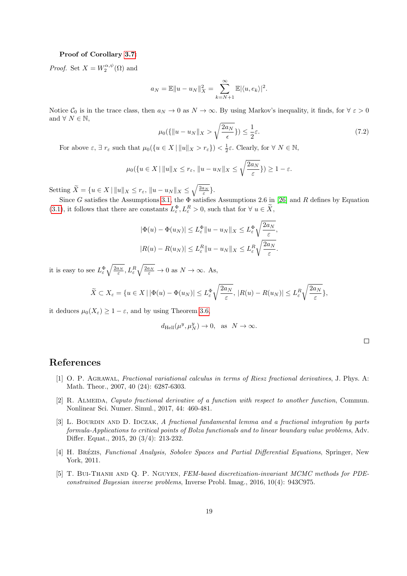#### Proof of Corollary [3.7:](#page-9-1)

*Proof.* Set  $X = W_2^{\alpha, \psi}(\Omega)$  and

$$
a_N = \mathbb{E} ||u - u_N||_X^2 = \sum_{k=N+1}^{\infty} \mathbb{E} |\langle u, e_k \rangle|^2.
$$

Notice  $\mathcal{C}_0$  is in the trace class, then  $a_N \to 0$  as  $N \to \infty$ . By using Markov's inequality, it finds, for  $\forall \varepsilon > 0$ and  $\forall N \in \mathbb{N}$ .

$$
\mu_0(\{\|u - u_N\|_X > \sqrt{\frac{2a_N}{\epsilon}}\}) \le \frac{1}{2}\varepsilon. \tag{7.2}
$$

For above  $\varepsilon$ ,  $\exists r_{\varepsilon}$  such that  $\mu_0(\{u \in X \mid ||u||_X > r_{\varepsilon}\}) < \frac{1}{2}\varepsilon$ . Clearly, for  $\forall N \in \mathbb{N}$ ,

$$
\mu_0(\{u \in X \mid ||u||_X \le r_\varepsilon, ||u - u_N||_X \le \sqrt{\frac{2a_N}{\varepsilon}}\}) \ge 1 - \varepsilon.
$$

Setting  $\widetilde{X} = \{u \in X \mid ||u||_X \le r_\varepsilon, ||u - u_N||_X \le \sqrt{\frac{2a_N}{\varepsilon}}\}.$ 

Since G satisfies the Assumptions [3.1,](#page-8-0) the  $\overrightarrow{\Phi}$  satisfies Assumptions 2.6 in [\[26\]](#page-20-1) and R defines by Equation [\(3.1\)](#page-7-0), it follows that there are constants  $L_{\varepsilon}^{\Phi}, L_{\varepsilon}^{R} > 0$ , such that for  $\forall u \in \widetilde{X}$ ,

$$
|\Phi(u) - \Phi(u_N)| \le L_{\varepsilon}^{\Phi} \|u - u_N\|_X \le L_{\varepsilon}^{\Phi} \sqrt{\frac{2a_N}{\varepsilon}},
$$
  

$$
|R(u) - R(u_N)| \le L_{\varepsilon}^R \|u - u_N\|_X \le L_{\varepsilon}^R \sqrt{\frac{2a_N}{\varepsilon}}.
$$

it is easy to see  $L_{\varepsilon}^{\Phi} \sqrt{\frac{2a_N}{\varepsilon}}, L_{\varepsilon}^R \sqrt{\frac{2a_N}{\varepsilon}} \to 0$  as  $N \to \infty$ . As,

$$
\widetilde{X} \subset X_{\varepsilon} = \{ u \in X \mid |\Phi(u) - \Phi(u_N)| \le L_{\varepsilon}^{\Phi} \sqrt{\frac{2a_N}{\varepsilon}}, \, |R(u) - R(u_N)| \le L_{\varepsilon}^R \sqrt{\frac{2a_N}{\varepsilon}} \},
$$

it deduces  $\mu_0(X_\varepsilon) \geq 1 - \varepsilon$ , and by using Theorem [3.6,](#page-9-0)

$$
d_{\text{Hell}}(\mu^y, \mu^y_N) \to 0, \text{ as } N \to \infty.
$$

# References

- <span id="page-18-3"></span>[1] O. P. Agrawal, Fractional variational calculus in terms of Riesz fractional derivatives, J. Phys. A: Math. Theor., 2007, 40 (24): 6287-6303.
- <span id="page-18-1"></span>[2] R. Almeida, Caputo fractional derivative of a function with respect to another function, Commun. Nonlinear Sci. Numer. Simul., 2017, 44: 460-481.
- <span id="page-18-4"></span>[3] L. BOURDIN AND D. IDCZAK, A fractional fundamental lemma and a fractional integration by parts formula-Applications to critical points of Bolza functionals and to linear boundary value problems, Adv. Differ. Equat., 2015, 20 (3/4): 213-232.
- <span id="page-18-2"></span>[4] H. BRÉZIS, Functional Analysis, Sobolev Spaces and Partial Differential Equations, Springer, New York, 2011.
- <span id="page-18-0"></span>[5] T. Bui-Thanh and Q. P. Nguyen, FEM-based discretization-invariant MCMC methods for PDEconstrained Bayesian inverse problems, Inverse Probl. Imag., 2016, 10(4): 943C975.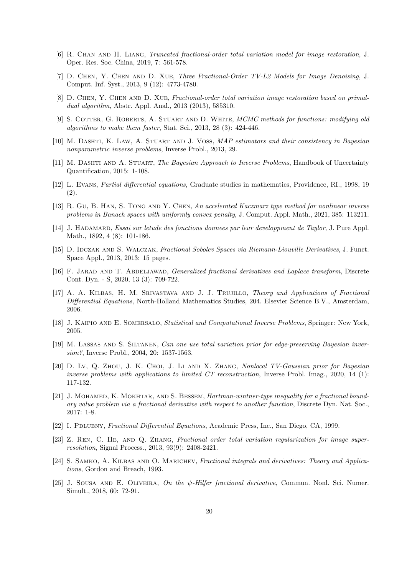- <span id="page-19-3"></span>[6] R. Chan and H. Liang, Truncated fractional-order total variation model for image restoration, J. Oper. Res. Soc. China, 2019, 7: 561-578.
- <span id="page-19-4"></span>[7] D. Chen, Y. Chen and D. Xue, Three Fractional-Order TV-L2 Models for Image Denoising, J. Comput. Inf. Syst., 2013, 9 (12): 4773-4780.
- <span id="page-19-9"></span>[8] D. Chen, Y. Chen and D. Xue, Fractional-order total variation image restoration based on primaldual algorithm, Abstr. Appl. Anal., 2013 (2013), 585310.
- <span id="page-19-16"></span>[9] S. COTTER, G. ROBERTS, A. STUART AND D. WHITE, MCMC methods for functions: modifying old algorithms to make them faster, Stat. Sci., 2013, 28 (3): 424-446.
- <span id="page-19-1"></span>[10] M. DASHTI, K. LAW, A. STUART AND J. VOSS, MAP estimators and their consistency in Bayesian nonparametric inverse problems, Inverse Probl., 2013, 29.
- <span id="page-19-2"></span>[11] M. DASHTI AND A. STUART, The Bayesian Approach to Inverse Problems, Handbook of Uncertainty Quantification, 2015: 1-108.
- <span id="page-19-13"></span>[12] L. Evans, Partial differential equations, Graduate studies in mathematics, Providence, RI., 1998, 19 (2).
- <span id="page-19-17"></span>[13] R. GU, B. HAN, S. TONG AND Y. CHEN, An accelerated Kaczmarz type method for nonlinear inverse problems in Banach spaces with uniformly convex penalty, J. Comput. Appl. Math., 2021, 385: 113211.
- [14] J. HADAMARD, Essai sur letude des fonctions donnees par leur developpment de Taylor, J. Pure Appl. Math., 1892, 4 (8): 101-186.
- <span id="page-19-14"></span>[15] D. IDCZAK AND S. WALCZAK, Fractional Sobolev Spaces via Riemann-Liouville Derivatives, J. Funct. Space Appl., 2013, 2013: 15 pages.
- <span id="page-19-11"></span>[16] F. JARAD AND T. ABDELJAWAD, *Generalized fractional derivatives and Laplace transform*, Discrete Cont. Dyn. - S, 2020, 13 (3): 709-722.
- <span id="page-19-7"></span>[17] A. A. Kilbas, H. M. Srivastava and J. J. Trujillo, Theory and Applications of Fractional Differential Equations, North-Holland Mathematics Studies, 204. Elsevier Science B.V., Amsterdam, 2006.
- <span id="page-19-0"></span>[18] J. KAIPIO AND E. SOMERSALO, Statistical and Computational Inverse Problems, Springer: New York, 2005.
- <span id="page-19-10"></span>[19] M. Lassas and S. Siltanen, Can one use total variation prior for edge-preserving Bayesian inversion?, Inverse Probl., 2004, 20: 1537-1563.
- [20] D. Lv, Q. Zhou, J. K. Choi, J. Li and X. Zhang, Nonlocal TV-Gaussian prior for Bayesian inverse problems with applications to limited CT reconstruction, Inverse Probl. Imag., 2020, 14 (1): 117-132.
- <span id="page-19-15"></span>[21] J. MOHAMED, K. MOKHTAR, AND S. BESSEM, *Hartman-wintner-type inequality for a fractional bound*ary value problem via a fractional derivative with respect to another function, Discrete Dyn. Nat. Soc., 2017: 1-8.
- <span id="page-19-6"></span>[22] I. PDLUBNY, Fractional Differential Equations, Academic Press, Inc., San Diego, CA, 1999.
- <span id="page-19-5"></span>[23] Z. Ren, C. He, and Q. Zhang, Fractional order total variation regularization for image superresolution, Signal Process., 2013, 93(9): 2408-2421.
- <span id="page-19-8"></span>[24] S. SAMKO, A. KILBAS AND O. MARICHEV, Fractional integrals and derivatives: Theory and Applications, Gordon and Breach, 1993.
- <span id="page-19-12"></span>[25] J. SOUSA AND E. OLIVEIRA, On the  $\psi$ -Hilfer fractional derivative, Commun. Nonl. Sci. Numer. Simult., 2018, 60: 72-91.